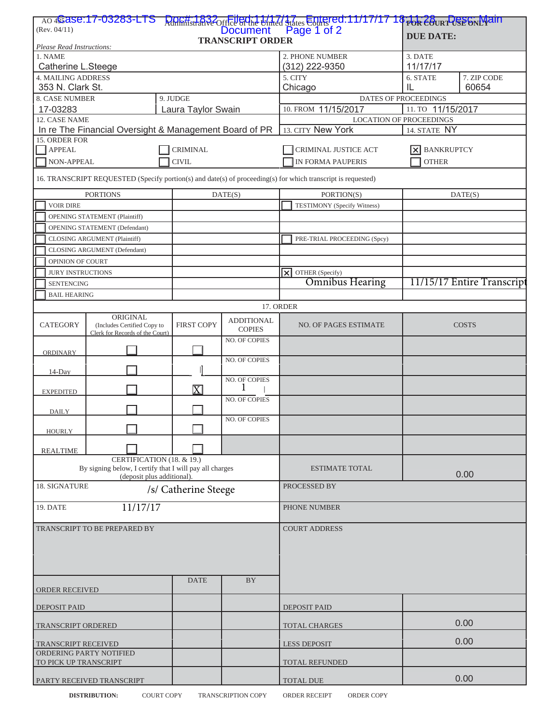| (Rev. 04/11)                                                                                                 |                                                                            |                       |                                    | AO 4S as e:17-03283-LTS Doc#1832<br>Rev. 04/11)<br>Document Page 1 of 2<br><b>DUE DATE:</b> |                      |                           |  |
|--------------------------------------------------------------------------------------------------------------|----------------------------------------------------------------------------|-----------------------|------------------------------------|---------------------------------------------------------------------------------------------|----------------------|---------------------------|--|
| <b>TRANSCRIPT ORDER</b><br>Please Read Instructions:                                                         |                                                                            |                       |                                    |                                                                                             |                      |                           |  |
| 1. NAME                                                                                                      |                                                                            |                       |                                    | 2. PHONE NUMBER                                                                             |                      |                           |  |
| Catherine L.Steege                                                                                           |                                                                            |                       | (312) 222-9350                     | 3. DATE<br>11/17/17                                                                         |                      |                           |  |
| <b>4. MAILING ADDRESS</b>                                                                                    |                                                                            |                       |                                    |                                                                                             |                      |                           |  |
| 353 N. Clark St.                                                                                             |                                                                            |                       |                                    | 5. CITY                                                                                     | 6. STATE<br>IL       | 7. ZIP CODE<br>60654      |  |
|                                                                                                              |                                                                            |                       |                                    | Chicago                                                                                     |                      |                           |  |
| 8. CASE NUMBER<br>9. JUDGE                                                                                   |                                                                            |                       |                                    |                                                                                             | DATES OF PROCEEDINGS |                           |  |
| 17-03283<br>Laura Taylor Swain                                                                               |                                                                            |                       |                                    | 10. FROM 11/15/2017<br>11. TO 11/15/2017                                                    |                      |                           |  |
| 12. CASE NAME                                                                                                |                                                                            |                       |                                    | <b>LOCATION OF PROCEEDINGS</b>                                                              |                      |                           |  |
| In re The Financial Oversight & Management Board of PR                                                       |                                                                            |                       |                                    | 13. CITY New York                                                                           | 14. STATE NY         |                           |  |
| 15. ORDER FOR                                                                                                |                                                                            |                       |                                    |                                                                                             |                      |                           |  |
| APPEAL                                                                                                       |                                                                            | <b>CRIMINAL</b>       |                                    | CRIMINAL JUSTICE ACT                                                                        | <b>BANKRUPTCY</b>    |                           |  |
| NON-APPEAL                                                                                                   |                                                                            | <b>CIVIL</b>          |                                    | <b>IN FORMA PAUPERIS</b>                                                                    | <b>OTHER</b>         |                           |  |
|                                                                                                              |                                                                            |                       |                                    |                                                                                             |                      |                           |  |
| 16. TRANSCRIPT REQUESTED (Specify portion(s) and date(s) of proceeding(s) for which transcript is requested) |                                                                            |                       |                                    |                                                                                             |                      |                           |  |
| <b>PORTIONS</b>                                                                                              |                                                                            | DATE(S)               |                                    | PORTION(S)                                                                                  | DATE(S)              |                           |  |
| <b>VOIR DIRE</b>                                                                                             |                                                                            |                       |                                    | TESTIMONY (Specify Witness)                                                                 |                      |                           |  |
|                                                                                                              | <b>OPENING STATEMENT (Plaintiff)</b>                                       |                       |                                    |                                                                                             |                      |                           |  |
|                                                                                                              |                                                                            |                       |                                    |                                                                                             |                      |                           |  |
| OPENING STATEMENT (Defendant)                                                                                |                                                                            |                       |                                    |                                                                                             |                      |                           |  |
|                                                                                                              | CLOSING ARGUMENT (Plaintiff)                                               |                       |                                    | PRE-TRIAL PROCEEDING (Spcy)                                                                 |                      |                           |  |
| CLOSING ARGUMENT (Defendant)                                                                                 |                                                                            |                       |                                    |                                                                                             |                      |                           |  |
| OPINION OF COURT                                                                                             |                                                                            |                       |                                    |                                                                                             |                      |                           |  |
| <b>JURY INSTRUCTIONS</b>                                                                                     |                                                                            |                       |                                    | OTHER (Specify)<br>$\overline{\mathsf{x}}$                                                  |                      |                           |  |
| <b>SENTENCING</b>                                                                                            |                                                                            |                       |                                    | <b>Omnibus Hearing</b>                                                                      |                      | 11/15/17 Entire Transcrip |  |
| <b>BAIL HEARING</b>                                                                                          |                                                                            |                       |                                    |                                                                                             |                      |                           |  |
| 17. ORDER                                                                                                    |                                                                            |                       |                                    |                                                                                             |                      |                           |  |
|                                                                                                              |                                                                            |                       |                                    |                                                                                             |                      |                           |  |
| <b>CATEGORY</b>                                                                                              | ORIGINAL<br>(Includes Certified Copy to<br>Clerk for Records of the Court) | <b>FIRST COPY</b>     | <b>ADDITIONAL</b><br><b>COPIES</b> | <b>NO. OF PAGES ESTIMATE</b>                                                                |                      | <b>COSTS</b>              |  |
| <b>ORDINARY</b>                                                                                              |                                                                            |                       | <b>NO. OF COPIES</b>               |                                                                                             |                      |                           |  |
| 14-Day                                                                                                       |                                                                            |                       | NO. OF COPIES                      |                                                                                             |                      |                           |  |
|                                                                                                              |                                                                            |                       | <b>NO. OF COPIES</b>               |                                                                                             |                      |                           |  |
| <b>EXPEDITED</b>                                                                                             |                                                                            | $\overline{\text{X}}$ |                                    |                                                                                             |                      |                           |  |
|                                                                                                              |                                                                            |                       | <b>NO. OF COPIES</b>               |                                                                                             |                      |                           |  |
| <b>DAILY</b>                                                                                                 |                                                                            |                       |                                    |                                                                                             |                      |                           |  |
|                                                                                                              |                                                                            |                       | NO. OF COPIES                      |                                                                                             |                      |                           |  |
| <b>HOURLY</b>                                                                                                |                                                                            |                       |                                    |                                                                                             |                      |                           |  |
| <b>REALTIME</b>                                                                                              |                                                                            |                       |                                    |                                                                                             |                      |                           |  |
| CERTIFICATION (18. & 19.)                                                                                    |                                                                            |                       |                                    |                                                                                             |                      |                           |  |
| By signing below, I certify that I will pay all charges<br>(deposit plus additional).                        |                                                                            |                       |                                    | <b>ESTIMATE TOTAL</b>                                                                       | 0.00                 |                           |  |
| 18. SIGNATURE                                                                                                |                                                                            |                       |                                    | PROCESSED BY                                                                                |                      |                           |  |
| /s/ Catherine Steege                                                                                         |                                                                            |                       |                                    |                                                                                             |                      |                           |  |
| 11/17/17<br>19. DATE                                                                                         |                                                                            |                       |                                    | PHONE NUMBER                                                                                |                      |                           |  |
|                                                                                                              |                                                                            |                       |                                    | <b>COURT ADDRESS</b>                                                                        |                      |                           |  |
| TRANSCRIPT TO BE PREPARED BY                                                                                 |                                                                            |                       |                                    |                                                                                             |                      |                           |  |
|                                                                                                              |                                                                            |                       |                                    |                                                                                             |                      |                           |  |
|                                                                                                              |                                                                            |                       |                                    |                                                                                             |                      |                           |  |
|                                                                                                              |                                                                            |                       |                                    |                                                                                             |                      |                           |  |
|                                                                                                              |                                                                            |                       |                                    |                                                                                             |                      |                           |  |
| <b>BY</b><br><b>DATE</b>                                                                                     |                                                                            |                       |                                    |                                                                                             |                      |                           |  |
| ORDER RECEIVED                                                                                               |                                                                            |                       |                                    |                                                                                             |                      |                           |  |
| <b>DEPOSIT PAID</b>                                                                                          |                                                                            |                       |                                    | <b>DEPOSIT PAID</b>                                                                         |                      |                           |  |
| TRANSCRIPT ORDERED                                                                                           |                                                                            |                       |                                    | TOTAL CHARGES                                                                               |                      | 0.00                      |  |
| TRANSCRIPT RECEIVED                                                                                          |                                                                            |                       |                                    | <b>LESS DEPOSIT</b>                                                                         |                      | 0.00                      |  |
| ORDERING PARTY NOTIFIED                                                                                      |                                                                            |                       |                                    |                                                                                             |                      |                           |  |
| TO PICK UP TRANSCRIPT                                                                                        |                                                                            |                       |                                    | <b>TOTAL REFUNDED</b>                                                                       |                      |                           |  |
| PARTY RECEIVED TRANSCRIPT                                                                                    |                                                                            |                       |                                    | TOTAL DUE                                                                                   |                      | 0.00                      |  |